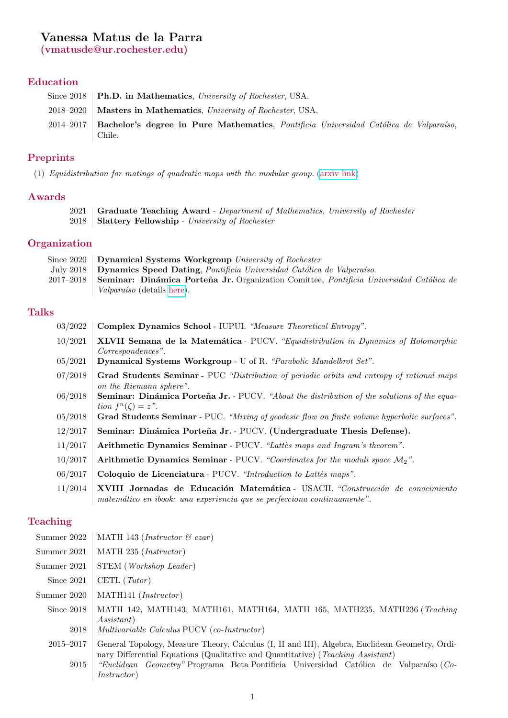# Vanessa Matus de la Parra

(vmatusde@ur.rochester.edu)

## Education

| Since 2018   <b>Ph.D.</b> in Mathematics, University of Rochester, USA.                                   |
|-----------------------------------------------------------------------------------------------------------|
| 2018–2020   Masters in Mathematics, University of Rochester, USA.                                         |
| 2014–2017   Bachelor's degree in Pure Mathematics, <i>Pontificia Universidad Católica de Valparaíso</i> , |
| Chile.                                                                                                    |

## Preprints

(1) Equidistribution for matings of quadratic maps with the modular group. [\(arxiv link\)](https://arxiv.org/abs/2202.06910)

### Awards

- 2021 Graduate Teaching Award Department of Mathematics, University of Rochester
- 2018 Slattery Fellowship University of Rochester

## **Organization**

| Since 2020 Dynamical Systems Workgroup University of Rochester                                           |
|----------------------------------------------------------------------------------------------------------|
| July 2018 Dynamics Speed Dating, Pontificia Universidad Católica de Valparaíso.                          |
| 2017-2018 Seminar: Dinámica Porteña Jr. Organization Comittee, <i>Pontificia Universidad Católica de</i> |
| <i>Valparaíso</i> (details here).                                                                        |

# Talks

| 03/2022 | Complex Dynamics School - IUPUI. "Measure Theoretical Entropy".                                                                  |
|---------|----------------------------------------------------------------------------------------------------------------------------------|
| 10/2021 | <b>XLVII Semana de la Matemática</b> - PUCV. "Equidistribution in Dynamics of Holomorphic<br>Correspondences".                   |
| 05/2021 | Dynamical Systems Workgroup - U of R. "Parabolic Mandelbrot Set".                                                                |
| 07/2018 | Grad Students Seminar - PUC "Distribution of periodic orbits and entropy of rational maps<br>on the Riemann sphere".             |
| 06/2018 | <b>Seminar: Dinámica Porteña Jr.</b> - PUCV. "About the distribution of the solutions of the equa-<br>tion $f^{n}(\zeta) = z$ ". |
| 05/2018 | Grad Students Seminar - PUC. "Mixing of geodesic flow on finite volume hyperbolic surfaces".                                     |
| 12/2017 | Seminar: Dinámica Porteña Jr. - PUCV. (Undergraduate Thesis Defense).                                                            |
| 11/2017 | Arithmetic Dynamics Seminar - PUCV. "Lattès maps and Ingram's theorem".                                                          |
| 10/2017 | Arithmetic Dynamics Seminar - PUCV. "Coordinates for the moduli space $M_2$ ".                                                   |
| 06/2017 | Coloquio de Licenciatura - PUCV. "Introduction to Lattès maps".                                                                  |
| 11/2014 | XVIII Jornadas de Educación Matemática - USACH. "Construcción de conocimiento                                                    |

matemático en ibook: una experiencia que se perfecciona continuamente".

#### Teaching

| Summer 2022 | MATH 143 ( <i>Instructor</i> $\mathcal C$ czar) |  |  |  |
|-------------|-------------------------------------------------|--|--|--|
|-------------|-------------------------------------------------|--|--|--|

- Summer 2021 | MATH 235 (*Instructor*)
- Summer 2021 STEM (Workshop Leader)
- Since  $2021$  CETL (*Tutor*)
- Summer 2020 | MATH141 (*Instructor*)
	- Since 2018 | MATH 142, MATH143, MATH161, MATH164, MATH 165, MATH235, MATH236 (Teaching Assistant)
		- 2018 | Multivariable Calculus PUCV (co-Instructor)
	- 2015–2017 General Topology, Measure Theory, Calculus (I, II and III), Algebra, Euclidean Geometry, Ordinary Differential Equations (Qualitative and Quantitative) (Teaching Assistant) 2015 | "Euclidean Geometry" Programa Beta Pontificia Universidad Católica de Valparaíso (Co-Instructor )